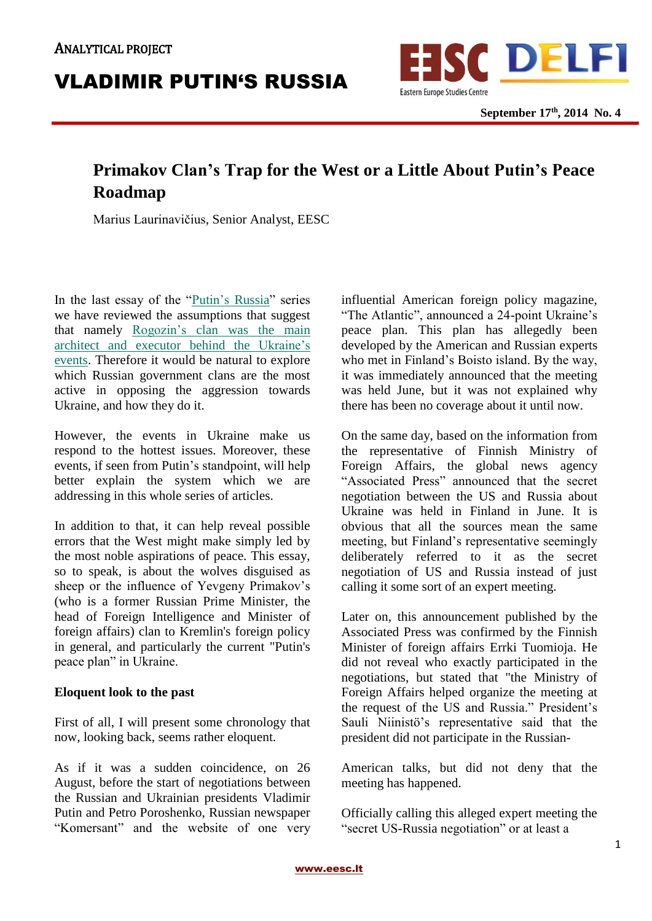

# **Primakov Clan's Trap for the West or a Little About Putin's Peace Roadmap**

Marius Laurinavičius, Senior Analyst, EESC

In the last essay of the "*Putin's Russia*" series we have reviewed the assumptions that suggest that namely [Rogozin's](http://en.delfi.lt/central-eastern-europe/dmitry-rogozins-clan-visionaries-and-executors-behind-aggression-towards-ukraine.d?id=65585356) clan was the main architect and executor behind the [Ukraine's](http://en.delfi.lt/central-eastern-europe/dmitry-rogozins-clan-visionaries-and-executors-behind-aggression-towards-ukraine.d?id=65585356) [events.](http://en.delfi.lt/central-eastern-europe/dmitry-rogozins-clan-visionaries-and-executors-behind-aggression-towards-ukraine.d?id=65585356) Therefore it would be natural to explore which Russian government clans are the most active in opposing the aggression towards Ukraine, and how they do it.

However, the events in Ukraine make us respond to the hottest issues. Moreover, these events, if seen from Putin's standpoint, will help better explain the system which we are addressing in this whole series of articles.

In addition to that, it can help reveal possible errors that the West might make simply led by the most noble aspirations of peace. This essay, so to speak, is about the wolves disguised as sheep or the influence of Yevgeny Primakov's (who is a former Russian Prime Minister, the head of Foreign Intelligence and Minister of foreign affairs) clan to Kremlin's foreign policy in general, and particularly the current "Putin's peace plan" in Ukraine.

#### **Eloquent look to the past**

First of all, I will present some chronology that now, looking back, seems rather eloquent.

As if it was a sudden coincidence, on 26 August, before the start of negotiations between the Russian and Ukrainian presidents Vladimir Putin and Petro Poroshenko, Russian newspaper "Komersant" and the website of one very influential American foreign policy magazine, "The Atlantic", announced a 24-point Ukraine's peace plan. This plan has allegedly been developed by the American and Russian experts who met in Finland's Boisto island. By the way, it was immediately announced that the meeting was held June, but it was not explained why there has been no coverage about it until now.

On the same day, based on the information from the representative of Finnish Ministry of Foreign Affairs, the global news agency "Associated Press" announced that the secret negotiation between the US and Russia about Ukraine was held in Finland in June. It is obvious that all the sources mean the same meeting, but Finland's representative seemingly deliberately referred to it as the secret negotiation of US and Russia instead of just calling it some sort of an expert meeting.

Later on, this announcement published by the Associated Press was confirmed by the Finnish Minister of foreign affairs Errki Tuomioja. He did not reveal who exactly participated in the negotiations, but stated that "the Ministry of Foreign Affairs helped organize the meeting at the request of the US and Russia." President's Sauli Niinistö's representative said that the president did not participate in the Russian-

American talks, but did not deny that the meeting has happened.

Officially calling this alleged expert meeting the "secret US-Russia negotiation" or at least a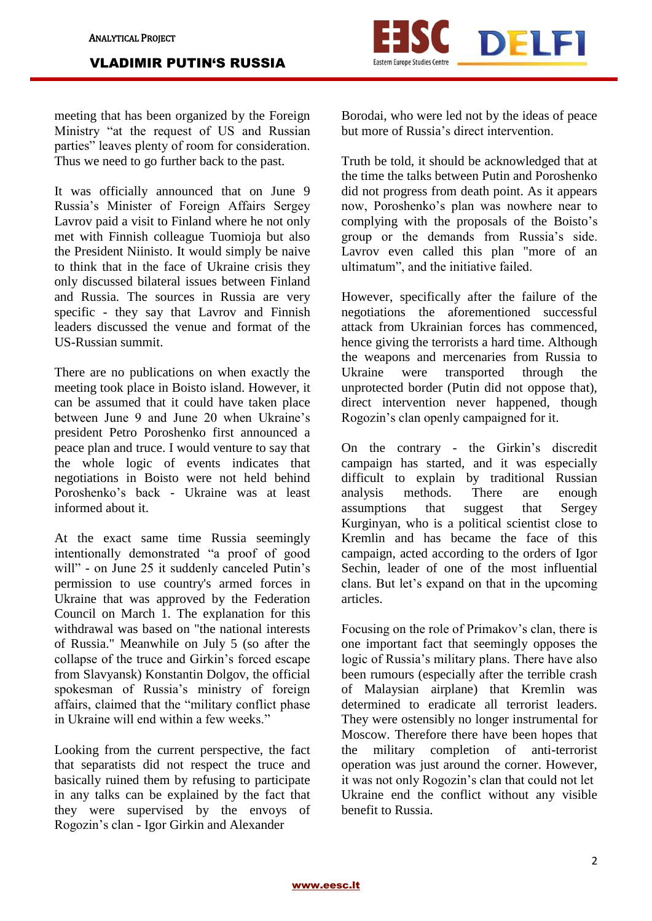meeting that has been organized by the Foreign Ministry "at the request of US and Russian parties" leaves plenty of room for consideration. Thus we need to go further back to the past.

It was officially announced that on June 9 Russia's Minister of Foreign Affairs Sergey Lavrov paid a visit to Finland where he not only met with Finnish colleague Tuomioja but also the President Niinisto. It would simply be naive to think that in the face of Ukraine crisis they only discussed bilateral issues between Finland and Russia. The sources in Russia are very specific - they say that Lavrov and Finnish leaders discussed the venue and format of the US-Russian summit.

There are no publications on when exactly the meeting took place in Boisto island. However, it can be assumed that it could have taken place between June 9 and June 20 when Ukraine's president Petro Poroshenko first announced a peace plan and truce. I would venture to say that the whole logic of events indicates that negotiations in Boisto were not held behind Poroshenko's back - Ukraine was at least informed about it.

At the exact same time Russia seemingly intentionally demonstrated "a proof of good will" - on June 25 it suddenly canceled Putin's permission to use country's armed forces in Ukraine that was approved by the Federation Council on March 1. The explanation for this withdrawal was based on "the national interests of Russia." Meanwhile on July 5 (so after the collapse of the truce and Girkin's forced escape from Slavyansk) Konstantin Dolgov, the official spokesman of Russia's ministry of foreign affairs, claimed that the "military conflict phase in Ukraine will end within a few weeks."

Looking from the current perspective, the fact that separatists did not respect the truce and basically ruined them by refusing to participate in any talks can be explained by the fact that they were supervised by the envoys of Rogozin's clan - Igor Girkin and Alexander



Eastern Europe Studies Centr

DELFI

Truth be told, it should be acknowledged that at the time the talks between Putin and Poroshenko did not progress from death point. As it appears now, Poroshenko's plan was nowhere near to complying with the proposals of the Boisto's group or the demands from Russia's side. Lavrov even called this plan "more of an ultimatum", and the initiative failed.

However, specifically after the failure of the negotiations the aforementioned successful attack from Ukrainian forces has commenced, hence giving the terrorists a hard time. Although the weapons and mercenaries from Russia to Ukraine were transported through the unprotected border (Putin did not oppose that), direct intervention never happened, though Rogozin's clan openly campaigned for it.

On the contrary - the Girkin's discredit campaign has started, and it was especially difficult to explain by traditional Russian analysis methods. There are enough assumptions that suggest that Sergey Kurginyan, who is a political scientist close to Kremlin and has became the face of this campaign, acted according to the orders of Igor Sechin, leader of one of the most influential clans. But let's expand on that in the upcoming articles.

Focusing on the role of Primakov's clan, there is one important fact that seemingly opposes the logic of Russia's military plans. There have also been rumours (especially after the terrible crash of Malaysian airplane) that Kremlin was determined to eradicate all terrorist leaders. They were ostensibly no longer instrumental for Moscow. Therefore there have been hopes that the military completion of anti-terrorist operation was just around the corner. However, it was not only Rogozin's clan that could not let Ukraine end the conflict without any visible benefit to Russia.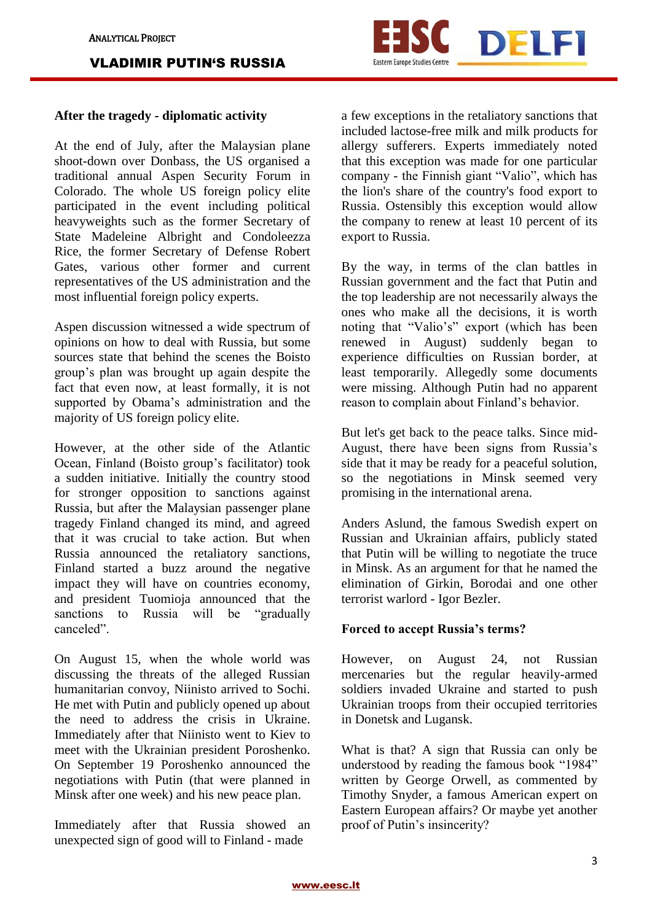

## **After the tragedy - diplomatic activity**

At the end of July, after the Malaysian plane shoot-down over Donbass, the US organised a traditional annual Aspen Security Forum in Colorado. The whole US foreign policy elite participated in the event including political heavyweights such as the former Secretary of State Madeleine Albright and Condoleezza Rice, the former Secretary of Defense Robert Gates, various other former and current representatives of the US administration and the most influential foreign policy experts.

Aspen discussion witnessed a wide spectrum of opinions on how to deal with Russia, but some sources state that behind the scenes the Boisto group's plan was brought up again despite the fact that even now, at least formally, it is not supported by Obama's administration and the majority of US foreign policy elite.

However, at the other side of the Atlantic Ocean, Finland (Boisto group's facilitator) took a sudden initiative. Initially the country stood for stronger opposition to sanctions against Russia, but after the Malaysian passenger plane tragedy Finland changed its mind, and agreed that it was crucial to take action. But when Russia announced the retaliatory sanctions, Finland started a buzz around the negative impact they will have on countries economy, and president Tuomioja announced that the sanctions to Russia will be "gradually canceled".

On August 15, when the whole world was discussing the threats of the alleged Russian humanitarian convoy, Niinisto arrived to Sochi. He met with Putin and publicly opened up about the need to address the crisis in Ukraine. Immediately after that Niinisto went to Kiev to meet with the Ukrainian president Poroshenko. On September 19 Poroshenko announced the negotiations with Putin (that were planned in Minsk after one week) and his new peace plan.

Immediately after that Russia showed an unexpected sign of good will to Finland - made

a few exceptions in the retaliatory sanctions that included lactose-free milk and milk products for allergy sufferers. Experts immediately noted that this exception was made for one particular company - the Finnish giant "Valio", which has the lion's share of the country's food export to Russia. Ostensibly this exception would allow the company to renew at least 10 percent of its export to Russia.

By the way, in terms of the clan battles in Russian government and the fact that Putin and the top leadership are not necessarily always the ones who make all the decisions, it is worth noting that "Valio's" export (which has been renewed in August) suddenly began to experience difficulties on Russian border, at least temporarily. Allegedly some documents were missing. Although Putin had no apparent reason to complain about Finland's behavior.

But let's get back to the peace talks. Since mid-August, there have been signs from Russia's side that it may be ready for a peaceful solution, so the negotiations in Minsk seemed very promising in the international arena.

Anders Aslund, the famous Swedish expert on Russian and Ukrainian affairs, publicly stated that Putin will be willing to negotiate the truce in Minsk. As an argument for that he named the elimination of Girkin, Borodai and one other terrorist warlord - Igor Bezler.

#### **Forced to accept Russia's terms?**

However, on August 24, not Russian mercenaries but the regular heavily-armed soldiers invaded Ukraine and started to push Ukrainian troops from their occupied territories in Donetsk and Lugansk.

What is that? A sign that Russia can only be understood by reading the famous book "1984" written by George Orwell, as commented by Timothy Snyder, a famous American expert on Eastern European affairs? Or maybe yet another proof of Putin's insincerity?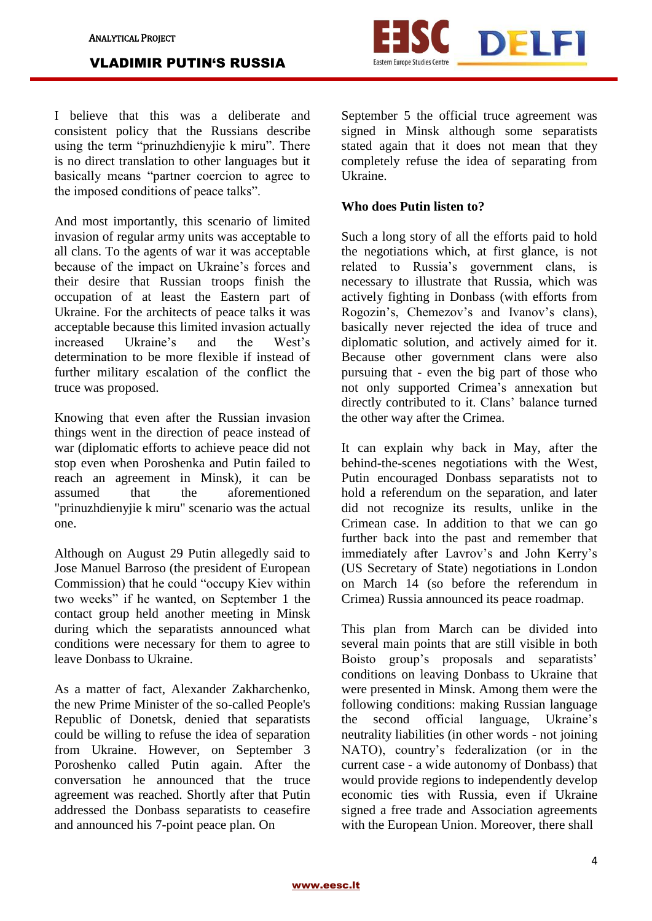

I believe that this was a deliberate and consistent policy that the Russians describe using the term "prinuzhdienyjie k miru". There is no direct translation to other languages but it basically means "partner coercion to agree to the imposed conditions of peace talks".

And most importantly, this scenario of limited invasion of regular army units was acceptable to all clans. To the agents of war it was acceptable because of the impact on Ukraine's forces and their desire that Russian troops finish the occupation of at least the Eastern part of Ukraine. For the architects of peace talks it was acceptable because this limited invasion actually increased Ukraine's and the West's determination to be more flexible if instead of further military escalation of the conflict the truce was proposed.

Knowing that even after the Russian invasion things went in the direction of peace instead of war (diplomatic efforts to achieve peace did not stop even when Poroshenka and Putin failed to reach an agreement in Minsk), it can be assumed that the aforementioned "prinuzhdienyjie k miru" scenario was the actual one.

Although on August 29 Putin allegedly said to Jose Manuel Barroso (the president of European Commission) that he could "occupy Kiev within two weeks" if he wanted, on September 1 the contact group held another meeting in Minsk during which the separatists announced what conditions were necessary for them to agree to leave Donbass to Ukraine.

As a matter of fact, Alexander Zakharchenko, the new Prime Minister of the so-called People's Republic of Donetsk, denied that separatists could be willing to refuse the idea of separation from Ukraine. However, on September 3 Poroshenko called Putin again. After the conversation he announced that the truce agreement was reached. Shortly after that Putin addressed the Donbass separatists to ceasefire and announced his 7-point peace plan. On

September 5 the official truce agreement was signed in Minsk although some separatists stated again that it does not mean that they completely refuse the idea of separating from Ukraine.

## **Who does Putin listen to?**

Such a long story of all the efforts paid to hold the negotiations which, at first glance, is not related to Russia's government clans, is necessary to illustrate that Russia, which was actively fighting in Donbass (with efforts from Rogozin's, Chemezov's and Ivanov's clans), basically never rejected the idea of truce and diplomatic solution, and actively aimed for it. Because other government clans were also pursuing that - even the big part of those who not only supported Crimea's annexation but directly contributed to it. Clans' balance turned the other way after the Crimea.

It can explain why back in May, after the behind-the-scenes negotiations with the West, Putin encouraged Donbass separatists not to hold a referendum on the separation, and later did not recognize its results, unlike in the Crimean case. In addition to that we can go further back into the past and remember that immediately after Lavrov's and John Kerry's (US Secretary of State) negotiations in London on March 14 (so before the referendum in Crimea) Russia announced its peace roadmap.

This plan from March can be divided into several main points that are still visible in both Boisto group's proposals and separatists' conditions on leaving Donbass to Ukraine that were presented in Minsk. Among them were the following conditions: making Russian language the second official language, Ukraine's neutrality liabilities (in other words - not joining NATO), country's federalization (or in the current case - a wide autonomy of Donbass) that would provide regions to independently develop economic ties with Russia, even if Ukraine signed a free trade and Association agreements with the European Union. Moreover, there shall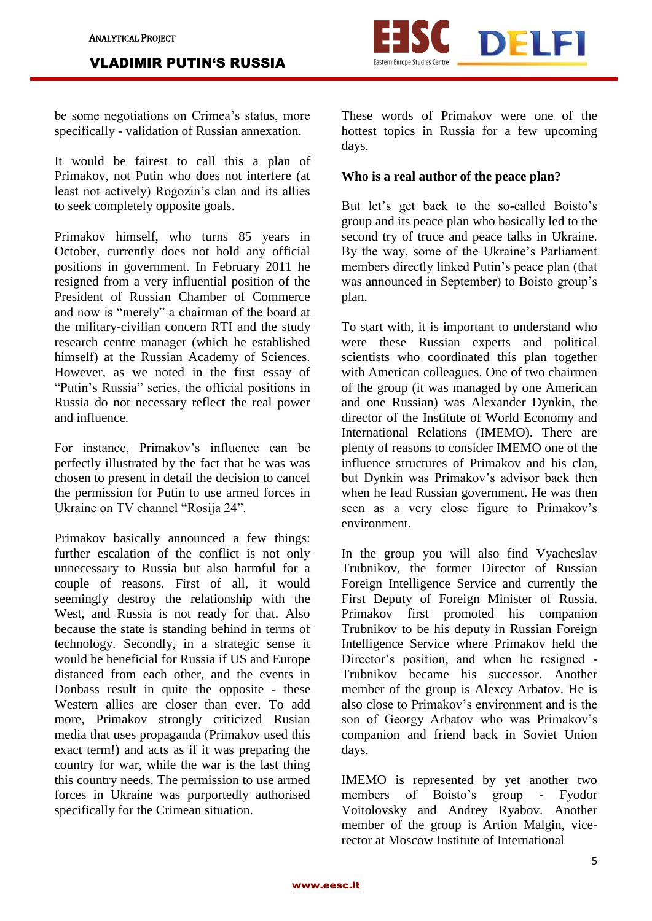

be some negotiations on Crimea's status, more specifically - validation of Russian annexation.

It would be fairest to call this a plan of Primakov, not Putin who does not interfere (at least not actively) Rogozin's clan and its allies to seek completely opposite goals.

Primakov himself, who turns 85 years in October, currently does not hold any official positions in government. In February 2011 he resigned from a very influential position of the President of Russian Chamber of Commerce and now is "merely" a chairman of the board at the military-civilian concern RTI and the study research centre manager (which he established himself) at the Russian Academy of Sciences. However, as we noted in the first essay of "Putin's Russia" series, the official positions in Russia do not necessary reflect the real power and influence.

For instance, Primakov's influence can be perfectly illustrated by the fact that he was was chosen to present in detail the decision to cancel the permission for Putin to use armed forces in Ukraine on TV channel "Rosija 24".

Primakov basically announced a few things: further escalation of the conflict is not only unnecessary to Russia but also harmful for a couple of reasons. First of all, it would seemingly destroy the relationship with the West, and Russia is not ready for that. Also because the state is standing behind in terms of technology. Secondly, in a strategic sense it would be beneficial for Russia if US and Europe distanced from each other, and the events in Donbass result in quite the opposite - these Western allies are closer than ever. To add more, Primakov strongly criticized Rusian media that uses propaganda (Primakov used this exact term!) and acts as if it was preparing the country for war, while the war is the last thing this country needs. The permission to use armed forces in Ukraine was purportedly authorised specifically for the Crimean situation.

These words of Primakov were one of the hottest topics in Russia for a few upcoming days.

## **Who is a real author of the peace plan?**

But let's get back to the so-called Boisto's group and its peace plan who basically led to the second try of truce and peace talks in Ukraine. By the way, some of the Ukraine's Parliament members directly linked Putin's peace plan (that was announced in September) to Boisto group's plan.

To start with, it is important to understand who were these Russian experts and political scientists who coordinated this plan together with American colleagues. One of two chairmen of the group (it was managed by one American and one Russian) was Alexander Dynkin, the director of the Institute of World Economy and International Relations (IMEMO). There are plenty of reasons to consider IMEMO one of the influence structures of Primakov and his clan, but Dynkin was Primakov's advisor back then when he lead Russian government. He was then seen as a very close figure to Primakov's environment.

In the group you will also find Vyacheslav Trubnikov, the former Director of Russian Foreign Intelligence Service and currently the First Deputy of Foreign Minister of Russia. Primakov first promoted his companion Trubnikov to be his deputy in Russian Foreign Intelligence Service where Primakov held the Director's position, and when he resigned - Trubnikov became his successor. Another member of the group is Alexey Arbatov. He is also close to Primakov's environment and is the son of Georgy Arbatov who was Primakov's companion and friend back in Soviet Union days.

IMEMO is represented by yet another two members of Boisto's group - Fyodor Voitolovsky and Andrey Ryabov. Another member of the group is Artion Malgin, vicerector at Moscow Institute of International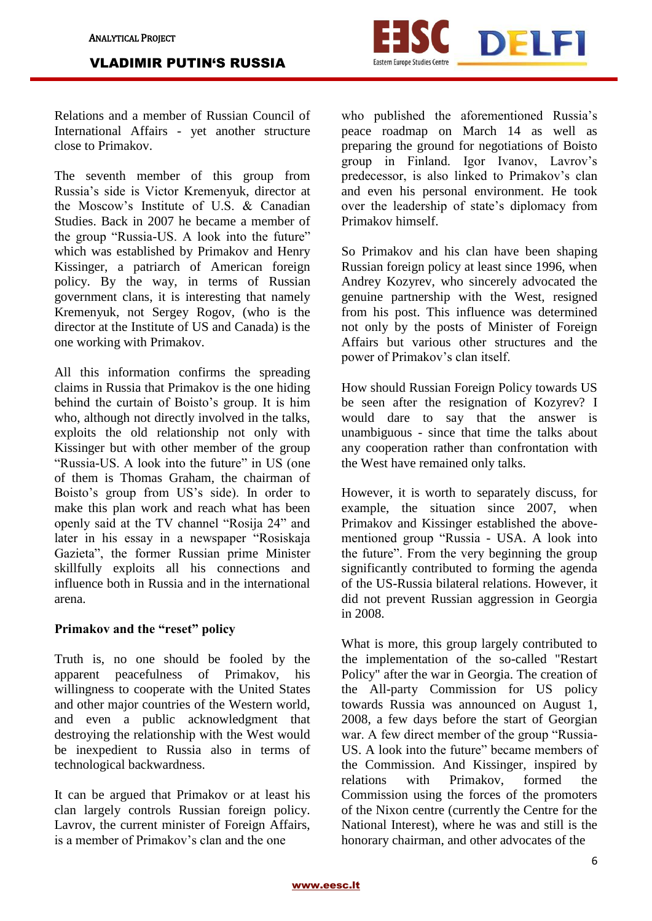

Relations and a member of Russian Council of International Affairs - yet another structure close to Primakov.

The seventh member of this group from Russia's side is Victor Kremenyuk, director at the Moscow's Institute of U.S. & Canadian Studies. Back in 2007 he became a member of the group "Russia-US. A look into the future" which was established by Primakov and Henry Kissinger, a patriarch of American foreign policy. By the way, in terms of Russian government clans, it is interesting that namely Kremenyuk, not Sergey Rogov, (who is the director at the Institute of US and Canada) is the one working with Primakov.

All this information confirms the spreading claims in Russia that Primakov is the one hiding behind the curtain of Boisto's group. It is him who, although not directly involved in the talks, exploits the old relationship not only with Kissinger but with other member of the group "Russia-US. A look into the future" in US (one of them is Thomas Graham, the chairman of Boisto's group from US's side). In order to make this plan work and reach what has been openly said at the TV channel "Rosija 24" and later in his essay in a newspaper "Rosiskaja Gazieta", the former Russian prime Minister skillfully exploits all his connections and influence both in Russia and in the international arena.

# **Primakov and the "reset" policy**

Truth is, no one should be fooled by the apparent peacefulness of Primakov, his willingness to cooperate with the United States and other major countries of the Western world, and even a public acknowledgment that destroying the relationship with the West would be inexpedient to Russia also in terms of technological backwardness.

It can be argued that Primakov or at least his clan largely controls Russian foreign policy. Lavrov, the current minister of Foreign Affairs, is a member of Primakov's clan and the one

who published the aforementioned Russia's peace roadmap on March 14 as well as preparing the ground for negotiations of Boisto group in Finland. Igor Ivanov, Lavrov's predecessor, is also linked to Primakov's clan and even his personal environment. He took over the leadership of state's diplomacy from Primakov himself.

So Primakov and his clan have been shaping Russian foreign policy at least since 1996, when Andrey Kozyrev, who sincerely advocated the genuine partnership with the West, resigned from his post. This influence was determined not only by the posts of Minister of Foreign Affairs but various other structures and the power of Primakov's clan itself.

How should Russian Foreign Policy towards US be seen after the resignation of Kozyrev? I would dare to say that the answer is unambiguous - since that time the talks about any cooperation rather than confrontation with the West have remained only talks.

However, it is worth to separately discuss, for example, the situation since 2007, when Primakov and Kissinger established the abovementioned group "Russia - USA. A look into the future". From the very beginning the group significantly contributed to forming the agenda of the US-Russia bilateral relations. However, it did not prevent Russian aggression in Georgia in 2008.

What is more, this group largely contributed to the implementation of the so-called "Restart Policy" after the war in Georgia. The creation of the All-party Commission for US policy towards Russia was announced on August 1, 2008, a few days before the start of Georgian war. A few direct member of the group "Russia-US. A look into the future" became members of the Commission. And Kissinger, inspired by relations with Primakov, formed the Commission using the forces of the promoters of the Nixon centre (currently the Centre for the National Interest), where he was and still is the honorary chairman, and other advocates of the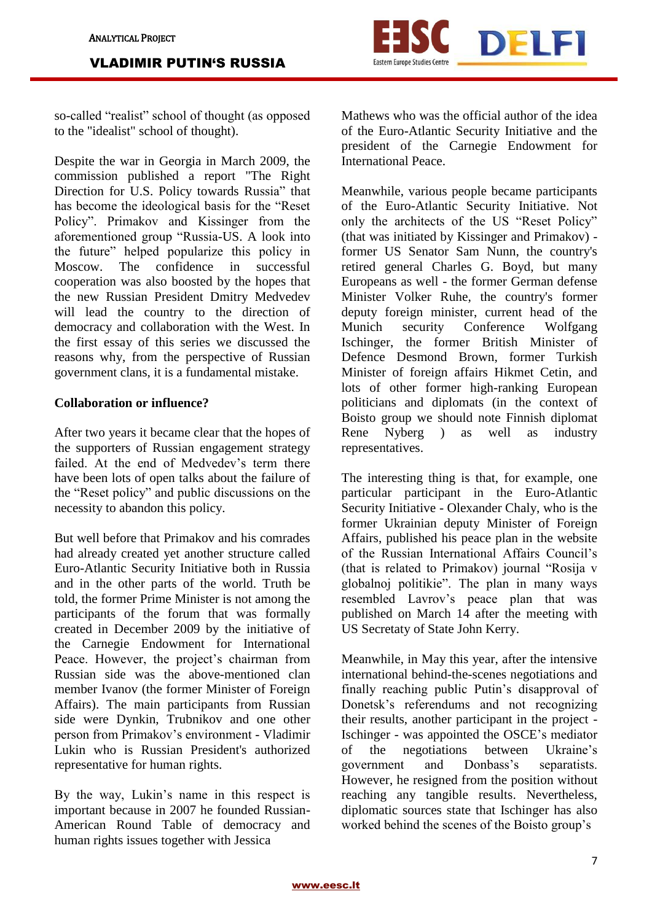

so-called "realist" school of thought (as opposed to the "idealist" school of thought).

Despite the war in Georgia in March 2009, the commission published a report "The Right Direction for U.S. Policy towards Russia" that has become the ideological basis for the "Reset Policy". Primakov and Kissinger from the aforementioned group "Russia-US. A look into the future" helped popularize this policy in Moscow. The confidence in successful cooperation was also boosted by the hopes that the new Russian President Dmitry Medvedev will lead the country to the direction of democracy and collaboration with the West. In the first essay of this series we discussed the reasons why, from the perspective of Russian government clans, it is a fundamental mistake.

## **Collaboration or influence?**

After two years it became clear that the hopes of the supporters of Russian engagement strategy failed. At the end of Medvedev's term there have been lots of open talks about the failure of the "Reset policy" and public discussions on the necessity to abandon this policy.

But well before that Primakov and his comrades had already created yet another structure called Euro-Atlantic Security Initiative both in Russia and in the other parts of the world. Truth be told, the former Prime Minister is not among the participants of the forum that was formally created in December 2009 by the initiative of the Carnegie Endowment for International Peace. However, the project's chairman from Russian side was the above-mentioned clan member Ivanov (the former Minister of Foreign Affairs). The main participants from Russian side were Dynkin, Trubnikov and one other person from Primakov's environment - Vladimir Lukin who is Russian President's authorized representative for human rights.

By the way, Lukin's name in this respect is important because in 2007 he founded Russian-American Round Table of democracy and human rights issues together with Jessica

Mathews who was the official author of the idea of the Euro-Atlantic Security Initiative and the president of the Carnegie Endowment for International Peace.

Meanwhile, various people became participants of the Euro-Atlantic Security Initiative. Not only the architects of the US "Reset Policy" (that was initiated by Kissinger and Primakov) former US Senator Sam Nunn, the country's retired general Charles G. Boyd, but many Europeans as well - the former German defense Minister Volker Ruhe, the country's former deputy foreign minister, current head of the Munich security Conference Wolfgang Ischinger, the former British Minister of Defence Desmond Brown, former Turkish Minister of foreign affairs Hikmet Cetin, and lots of other former high-ranking European politicians and diplomats (in the context of Boisto group we should note Finnish diplomat Rene Nyberg ) as well as industry representatives.

The interesting thing is that, for example, one particular participant in the Euro-Atlantic Security Initiative - Olexander Chaly, who is the former Ukrainian deputy Minister of Foreign Affairs, published his peace plan in the website of the Russian International Affairs Council's (that is related to Primakov) journal "Rosija v globalnoj politikie". The plan in many ways resembled Lavrov's peace plan that was published on March 14 after the meeting with US Secretaty of State John Kerry.

Meanwhile, in May this year, after the intensive international behind-the-scenes negotiations and finally reaching public Putin's disapproval of Donetsk's referendums and not recognizing their results, another participant in the project - Ischinger - was appointed the OSCE's mediator of the negotiations between Ukraine's government and Donbass's separatists. However, he resigned from the position without reaching any tangible results. Nevertheless, diplomatic sources state that Ischinger has also worked behind the scenes of the Boisto group's